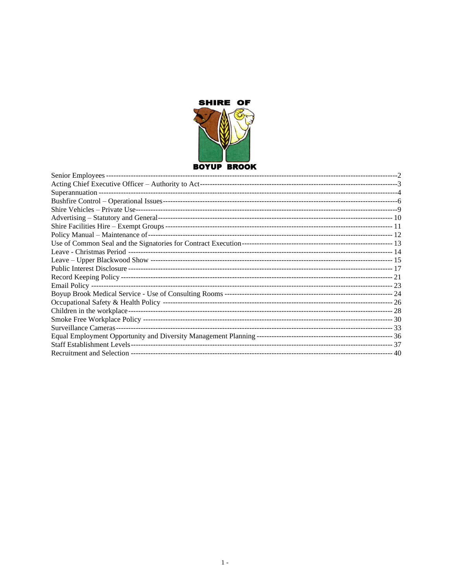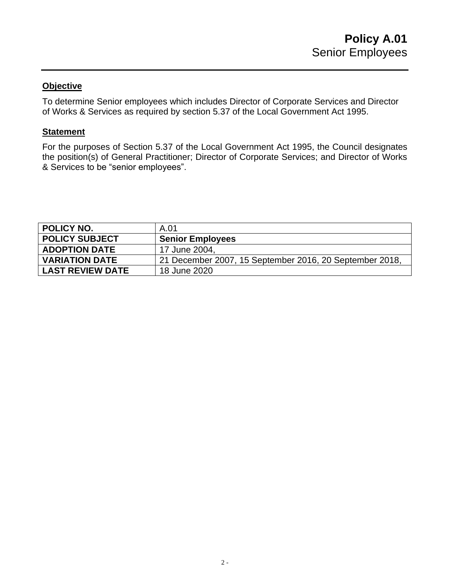To determine Senior employees which includes Director of Corporate Services and Director of Works & Services as required by section 5.37 of the Local Government Act 1995.

#### **Statement**

For the purposes of Section 5.37 of the Local Government Act 1995, the Council designates the position(s) of General Practitioner; Director of Corporate Services; and Director of Works & Services to be "senior employees".

<span id="page-1-0"></span>

| <b>POLICY NO.</b>       | A.01                                                    |
|-------------------------|---------------------------------------------------------|
| <b>POLICY SUBJECT</b>   | <b>Senior Employees</b>                                 |
| <b>ADOPTION DATE</b>    | 17 June 2004,                                           |
| <b>VARIATION DATE</b>   | 21 December 2007, 15 September 2016, 20 September 2018, |
| <b>LAST REVIEW DATE</b> | 18 June 2020                                            |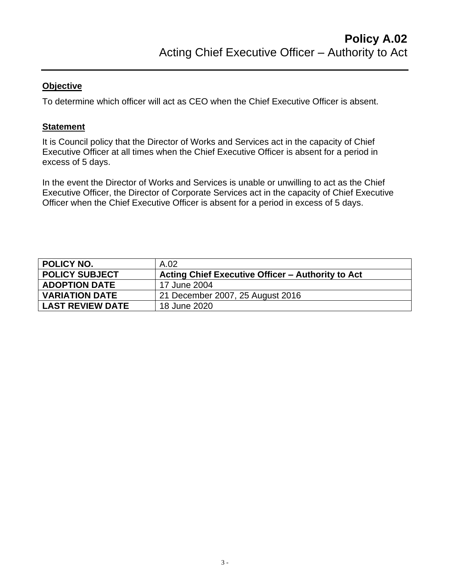To determine which officer will act as CEO when the Chief Executive Officer is absent.

## **Statement**

It is Council policy that the Director of Works and Services act in the capacity of Chief Executive Officer at all times when the Chief Executive Officer is absent for a period in excess of 5 days.

In the event the Director of Works and Services is unable or unwilling to act as the Chief Executive Officer, the Director of Corporate Services act in the capacity of Chief Executive Officer when the Chief Executive Officer is absent for a period in excess of 5 days.

<span id="page-2-0"></span>

| POLICY NO.              | A.02                                              |
|-------------------------|---------------------------------------------------|
| <b>POLICY SUBJECT</b>   | Acting Chief Executive Officer – Authority to Act |
| <b>ADOPTION DATE</b>    | 17 June 2004                                      |
| <b>VARIATION DATE</b>   | 21 December 2007, 25 August 2016                  |
| <b>LAST REVIEW DATE</b> | 18 June 2020                                      |
|                         |                                                   |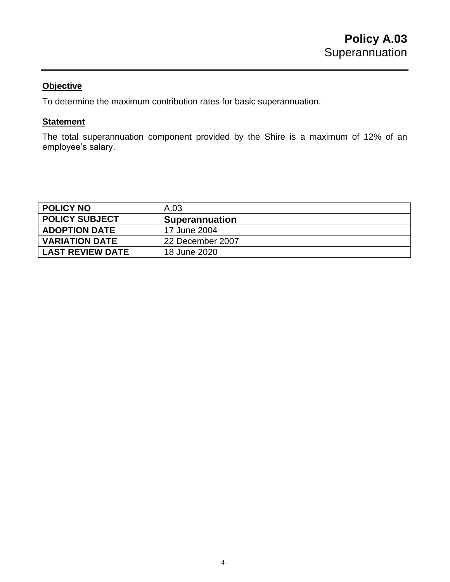To determine the maximum contribution rates for basic superannuation.

## **Statement**

The total superannuation component provided by the Shire is a maximum of 12% of an employee's salary.

<span id="page-3-0"></span>

| <b>POLICY NO</b>        | A.03                  |
|-------------------------|-----------------------|
| <b>POLICY SUBJECT</b>   | <b>Superannuation</b> |
| <b>ADOPTION DATE</b>    | 17 June 2004          |
| <b>VARIATION DATE</b>   | 22 December 2007      |
| <b>LAST REVIEW DATE</b> | 18 June 2020          |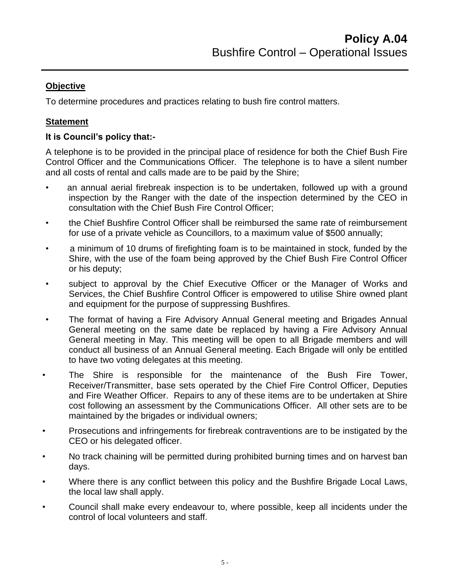To determine procedures and practices relating to bush fire control matters.

## **Statement**

## **It is Council's policy that:-**

A telephone is to be provided in the principal place of residence for both the Chief Bush Fire Control Officer and the Communications Officer. The telephone is to have a silent number and all costs of rental and calls made are to be paid by the Shire;

- an annual aerial firebreak inspection is to be undertaken, followed up with a ground inspection by the Ranger with the date of the inspection determined by the CEO in consultation with the Chief Bush Fire Control Officer;
- the Chief Bushfire Control Officer shall be reimbursed the same rate of reimbursement for use of a private vehicle as Councillors, to a maximum value of \$500 annually;
- a minimum of 10 drums of firefighting foam is to be maintained in stock, funded by the Shire, with the use of the foam being approved by the Chief Bush Fire Control Officer or his deputy;
- subject to approval by the Chief Executive Officer or the Manager of Works and Services, the Chief Bushfire Control Officer is empowered to utilise Shire owned plant and equipment for the purpose of suppressing Bushfires.
- The format of having a Fire Advisory Annual General meeting and Brigades Annual General meeting on the same date be replaced by having a Fire Advisory Annual General meeting in May. This meeting will be open to all Brigade members and will conduct all business of an Annual General meeting. Each Brigade will only be entitled to have two voting delegates at this meeting.
- The Shire is responsible for the maintenance of the Bush Fire Tower, Receiver/Transmitter, base sets operated by the Chief Fire Control Officer, Deputies and Fire Weather Officer. Repairs to any of these items are to be undertaken at Shire cost following an assessment by the Communications Officer. All other sets are to be maintained by the brigades or individual owners;
- Prosecutions and infringements for firebreak contraventions are to be instigated by the CEO or his delegated officer.
- No track chaining will be permitted during prohibited burning times and on harvest ban days.
- Where there is any conflict between this policy and the Bushfire Brigade Local Laws, the local law shall apply.
- Council shall make every endeavour to, where possible, keep all incidents under the control of local volunteers and staff.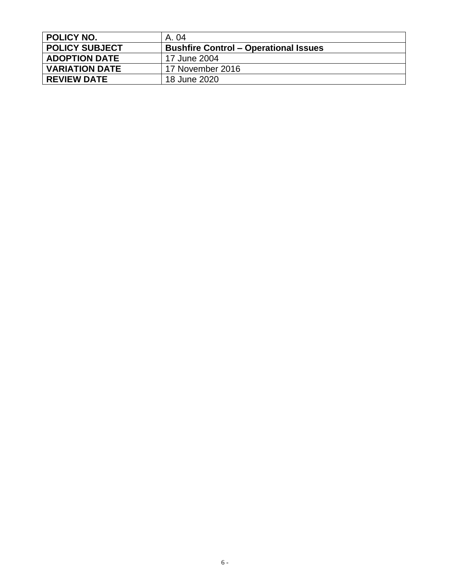<span id="page-5-0"></span>

| <b>POLICY NO.</b>     | A. 04                                        |
|-----------------------|----------------------------------------------|
| <b>POLICY SUBJECT</b> | <b>Bushfire Control – Operational Issues</b> |
| <b>ADOPTION DATE</b>  | 17 June 2004                                 |
| <b>VARIATION DATE</b> | 17 November 2016                             |
| <b>REVIEW DATE</b>    | 18 June 2020                                 |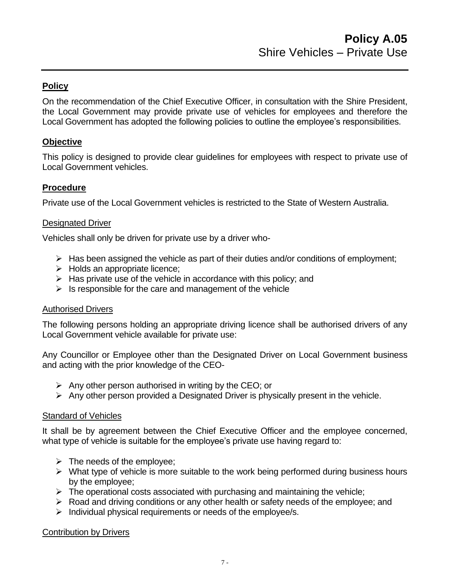## **Policy**

On the recommendation of the Chief Executive Officer, in consultation with the Shire President, the Local Government may provide private use of vehicles for employees and therefore the Local Government has adopted the following policies to outline the employee's responsibilities.

## **Objective**

This policy is designed to provide clear guidelines for employees with respect to private use of Local Government vehicles.

## **Procedure**

Private use of the Local Government vehicles is restricted to the State of Western Australia.

#### Designated Driver

Vehicles shall only be driven for private use by a driver who-

- $\triangleright$  Has been assigned the vehicle as part of their duties and/or conditions of employment;
- ➢ Holds an appropriate licence;
- $\triangleright$  Has private use of the vehicle in accordance with this policy; and
- $\triangleright$  Is responsible for the care and management of the vehicle

#### Authorised Drivers

The following persons holding an appropriate driving licence shall be authorised drivers of any Local Government vehicle available for private use:

Any Councillor or Employee other than the Designated Driver on Local Government business and acting with the prior knowledge of the CEO-

- $\triangleright$  Any other person authorised in writing by the CEO; or
- $\triangleright$  Any other person provided a Designated Driver is physically present in the vehicle.

#### Standard of Vehicles

It shall be by agreement between the Chief Executive Officer and the employee concerned, what type of vehicle is suitable for the employee's private use having regard to:

- $\triangleright$  The needs of the employee;
- $\triangleright$  What type of vehicle is more suitable to the work being performed during business hours by the employee;
- $\triangleright$  The operational costs associated with purchasing and maintaining the vehicle;
- ➢ Road and driving conditions or any other health or safety needs of the employee; and
- $\triangleright$  Individual physical requirements or needs of the employee/s.

#### Contribution by Drivers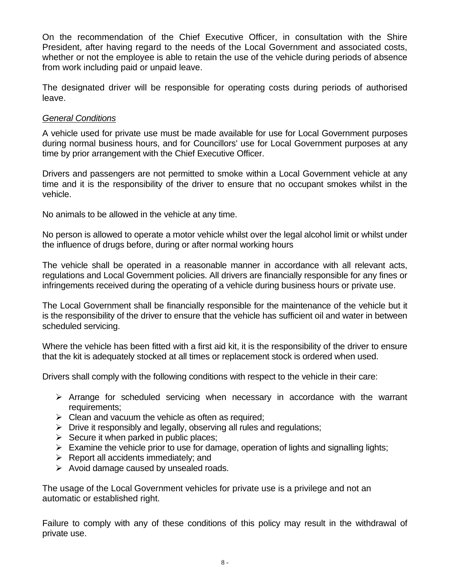On the recommendation of the Chief Executive Officer, in consultation with the Shire President, after having regard to the needs of the Local Government and associated costs, whether or not the employee is able to retain the use of the vehicle during periods of absence from work including paid or unpaid leave.

The designated driver will be responsible for operating costs during periods of authorised leave.

#### *General Conditions*

A vehicle used for private use must be made available for use for Local Government purposes during normal business hours, and for Councillors' use for Local Government purposes at any time by prior arrangement with the Chief Executive Officer.

Drivers and passengers are not permitted to smoke within a Local Government vehicle at any time and it is the responsibility of the driver to ensure that no occupant smokes whilst in the vehicle.

No animals to be allowed in the vehicle at any time.

No person is allowed to operate a motor vehicle whilst over the legal alcohol limit or whilst under the influence of drugs before, during or after normal working hours

The vehicle shall be operated in a reasonable manner in accordance with all relevant acts, regulations and Local Government policies. All drivers are financially responsible for any fines or infringements received during the operating of a vehicle during business hours or private use.

The Local Government shall be financially responsible for the maintenance of the vehicle but it is the responsibility of the driver to ensure that the vehicle has sufficient oil and water in between scheduled servicing.

Where the vehicle has been fitted with a first aid kit, it is the responsibility of the driver to ensure that the kit is adequately stocked at all times or replacement stock is ordered when used.

Drivers shall comply with the following conditions with respect to the vehicle in their care:

- ➢ Arrange for scheduled servicing when necessary in accordance with the warrant requirements;
- $\triangleright$  Clean and vacuum the vehicle as often as required;
- ➢ Drive it responsibly and legally, observing all rules and regulations;
- $\triangleright$  Secure it when parked in public places;
- $\triangleright$  Examine the vehicle prior to use for damage, operation of lights and signalling lights;
- $\triangleright$  Report all accidents immediately; and
- $\triangleright$  Avoid damage caused by unsealed roads.

The usage of the Local Government vehicles for private use is a privilege and not an automatic or established right.

Failure to comply with any of these conditions of this policy may result in the withdrawal of private use.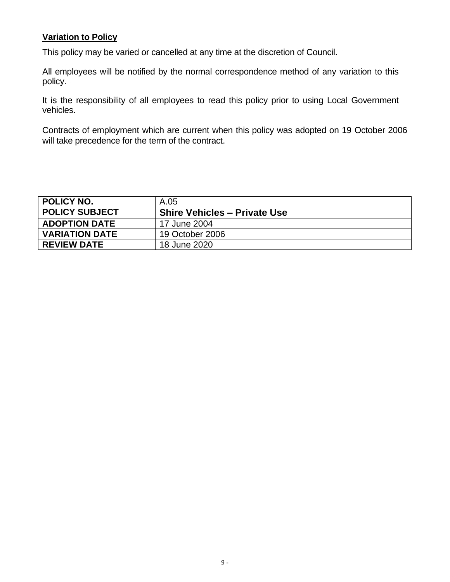## **Variation to Policy**

This policy may be varied or cancelled at any time at the discretion of Council.

All employees will be notified by the normal correspondence method of any variation to this policy.

It is the responsibility of all employees to read this policy prior to using Local Government vehicles.

Contracts of employment which are current when this policy was adopted on 19 October 2006 will take precedence for the term of the contract.

<span id="page-8-0"></span>

| <b>POLICY NO.</b>     | A.05                                |
|-----------------------|-------------------------------------|
| <b>POLICY SUBJECT</b> | <b>Shire Vehicles - Private Use</b> |
| <b>ADOPTION DATE</b>  | 17 June 2004                        |
| <b>VARIATION DATE</b> | 19 October 2006                     |
| <b>REVIEW DATE</b>    | 18 June 2020                        |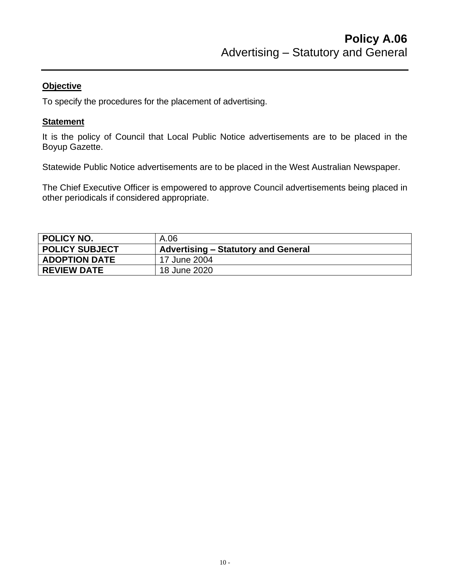To specify the procedures for the placement of advertising.

#### **Statement**

It is the policy of Council that Local Public Notice advertisements are to be placed in the Boyup Gazette.

Statewide Public Notice advertisements are to be placed in the West Australian Newspaper.

The Chief Executive Officer is empowered to approve Council advertisements being placed in other periodicals if considered appropriate.

<span id="page-9-0"></span>

| <b>POLICY NO.</b>     | A.06                                |
|-----------------------|-------------------------------------|
| <b>POLICY SUBJECT</b> | Advertising – Statutory and General |
| <b>ADOPTION DATE</b>  | 17 June 2004                        |
| <b>REVIEW DATE</b>    | 18 June 2020                        |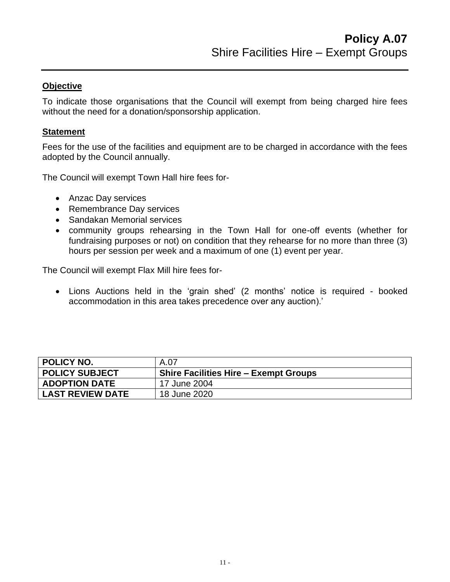To indicate those organisations that the Council will exempt from being charged hire fees without the need for a donation/sponsorship application.

#### **Statement**

Fees for the use of the facilities and equipment are to be charged in accordance with the fees adopted by the Council annually.

The Council will exempt Town Hall hire fees for-

- Anzac Day services
- Remembrance Day services
- Sandakan Memorial services
- community groups rehearsing in the Town Hall for one-off events (whether for fundraising purposes or not) on condition that they rehearse for no more than three (3) hours per session per week and a maximum of one (1) event per year.

The Council will exempt Flax Mill hire fees for-

• Lions Auctions held in the 'grain shed' (2 months' notice is required - booked accommodation in this area takes precedence over any auction).'

<span id="page-10-0"></span>

| <b>POLICY NO.</b>       | A.07                                         |
|-------------------------|----------------------------------------------|
| <b>POLICY SUBJECT</b>   | <b>Shire Facilities Hire – Exempt Groups</b> |
| <b>ADOPTION DATE</b>    | 17 June 2004                                 |
| <b>LAST REVIEW DATE</b> | 18 June 2020                                 |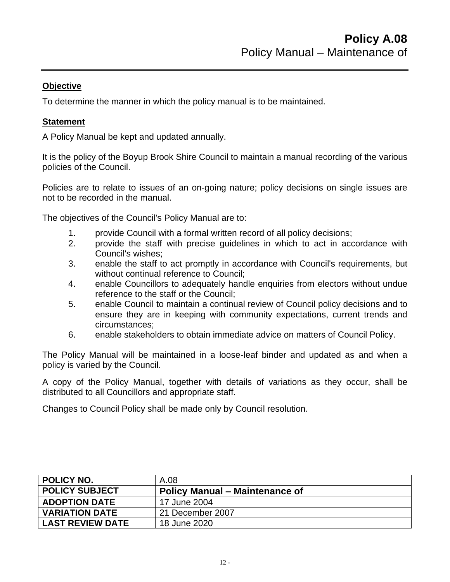To determine the manner in which the policy manual is to be maintained.

## **Statement**

A Policy Manual be kept and updated annually.

It is the policy of the Boyup Brook Shire Council to maintain a manual recording of the various policies of the Council.

Policies are to relate to issues of an on-going nature; policy decisions on single issues are not to be recorded in the manual.

The objectives of the Council's Policy Manual are to:

- 1. provide Council with a formal written record of all policy decisions;
- 2. provide the staff with precise guidelines in which to act in accordance with Council's wishes;
- 3. enable the staff to act promptly in accordance with Council's requirements, but without continual reference to Council;
- 4. enable Councillors to adequately handle enquiries from electors without undue reference to the staff or the Council;
- 5. enable Council to maintain a continual review of Council policy decisions and to ensure they are in keeping with community expectations, current trends and circumstances;
- 6. enable stakeholders to obtain immediate advice on matters of Council Policy.

The Policy Manual will be maintained in a loose-leaf binder and updated as and when a policy is varied by the Council.

A copy of the Policy Manual, together with details of variations as they occur, shall be distributed to all Councillors and appropriate staff.

Changes to Council Policy shall be made only by Council resolution.

<span id="page-11-0"></span>

| <b>POLICY NO.</b>       | A.08                                  |
|-------------------------|---------------------------------------|
| <b>POLICY SUBJECT</b>   | <b>Policy Manual – Maintenance of</b> |
| <b>ADOPTION DATE</b>    | 17 June 2004                          |
| <b>VARIATION DATE</b>   | 21 December 2007                      |
| <b>LAST REVIEW DATE</b> | 18 June 2020                          |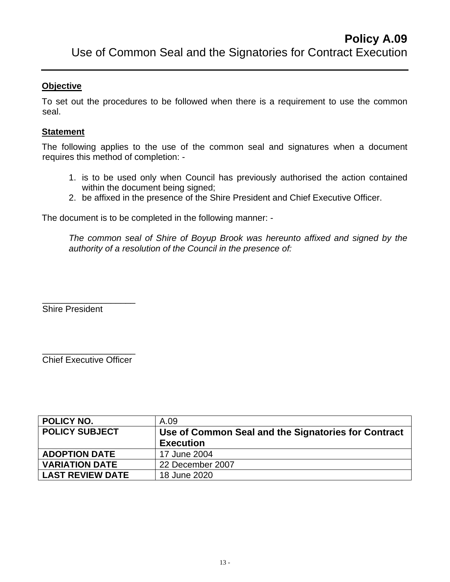To set out the procedures to be followed when there is a requirement to use the common seal.

#### **Statement**

The following applies to the use of the common seal and signatures when a document requires this method of completion: -

- 1. is to be used only when Council has previously authorised the action contained within the document being signed;
- 2. be affixed in the presence of the Shire President and Chief Executive Officer.

The document is to be completed in the following manner: -

*The common seal of Shire of Boyup Brook was hereunto affixed and signed by the authority of a resolution of the Council in the presence of:*

Shire President

\_\_\_\_\_\_\_\_\_\_\_\_\_\_\_\_\_\_\_ Chief Executive Officer

\_\_\_\_\_\_\_\_\_\_\_\_\_\_\_\_\_\_\_

<span id="page-12-0"></span>

| POLICY NO.              | A.09                                                |
|-------------------------|-----------------------------------------------------|
| <b>POLICY SUBJECT</b>   | Use of Common Seal and the Signatories for Contract |
|                         | <b>Execution</b>                                    |
| <b>ADOPTION DATE</b>    | 17 June 2004                                        |
| <b>VARIATION DATE</b>   | 22 December 2007                                    |
| <b>LAST REVIEW DATE</b> | 18 June 2020                                        |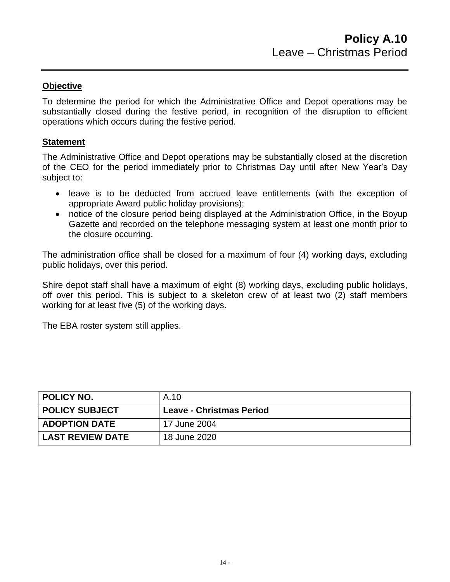To determine the period for which the Administrative Office and Depot operations may be substantially closed during the festive period, in recognition of the disruption to efficient operations which occurs during the festive period.

#### **Statement**

The Administrative Office and Depot operations may be substantially closed at the discretion of the CEO for the period immediately prior to Christmas Day until after New Year's Day subject to:

- leave is to be deducted from accrued leave entitlements (with the exception of appropriate Award public holiday provisions);
- notice of the closure period being displayed at the Administration Office, in the Boyup Gazette and recorded on the telephone messaging system at least one month prior to the closure occurring.

The administration office shall be closed for a maximum of four (4) working days, excluding public holidays, over this period.

Shire depot staff shall have a maximum of eight (8) working days, excluding public holidays, off over this period. This is subject to a skeleton crew of at least two (2) staff members working for at least five (5) of the working days.

The EBA roster system still applies.

<span id="page-13-0"></span>

| POLICY NO.              | A.10                            |
|-------------------------|---------------------------------|
| <b>POLICY SUBJECT</b>   | <b>Leave - Christmas Period</b> |
| <b>ADOPTION DATE</b>    | 17 June 2004                    |
| <b>LAST REVIEW DATE</b> | 18 June 2020                    |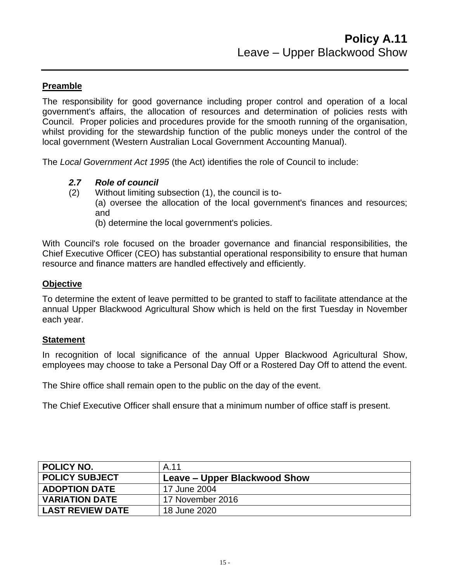## **Preamble**

The responsibility for good governance including proper control and operation of a local government's affairs, the allocation of resources and determination of policies rests with Council. Proper policies and procedures provide for the smooth running of the organisation, whilst providing for the stewardship function of the public moneys under the control of the local government (Western Australian Local Government Accounting Manual).

The *Local Government Act 1995* (the Act) identifies the role of Council to include:

- *2.7 Role of council*
- (2) Without limiting subsection (1), the council is to- (a) oversee the allocation of the local government's finances and resources;
	- and (b) determine the local government's policies.

With Council's role focused on the broader governance and financial responsibilities, the Chief Executive Officer (CEO) has substantial operational responsibility to ensure that human resource and finance matters are handled effectively and efficiently.

#### **Objective**

To determine the extent of leave permitted to be granted to staff to facilitate attendance at the annual Upper Blackwood Agricultural Show which is held on the first Tuesday in November each year.

#### **Statement**

In recognition of local significance of the annual Upper Blackwood Agricultural Show, employees may choose to take a Personal Day Off or a Rostered Day Off to attend the event.

The Shire office shall remain open to the public on the day of the event.

The Chief Executive Officer shall ensure that a minimum number of office staff is present.

<span id="page-14-0"></span>

| <b>POLICY NO.</b>       | A.11                         |
|-------------------------|------------------------------|
| <b>POLICY SUBJECT</b>   | Leave – Upper Blackwood Show |
| <b>ADOPTION DATE</b>    | 17 June 2004                 |
| <b>VARIATION DATE</b>   | 17 November 2016             |
| <b>LAST REVIEW DATE</b> | 18 June 2020                 |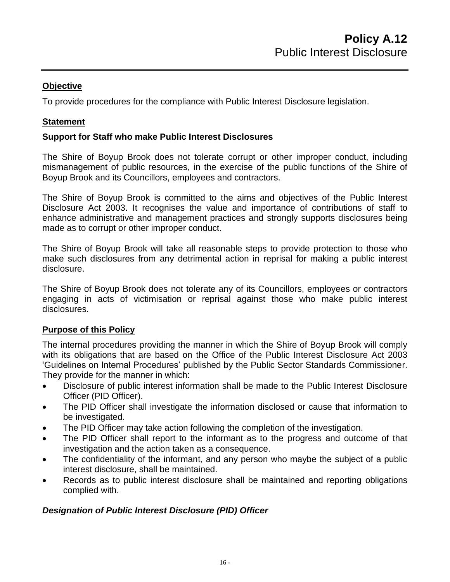To provide procedures for the compliance with Public Interest Disclosure legislation.

## **Statement**

## **Support for Staff who make Public Interest Disclosures**

The Shire of Boyup Brook does not tolerate corrupt or other improper conduct, including mismanagement of public resources, in the exercise of the public functions of the Shire of Boyup Brook and its Councillors, employees and contractors.

The Shire of Boyup Brook is committed to the aims and objectives of the Public Interest Disclosure Act 2003. It recognises the value and importance of contributions of staff to enhance administrative and management practices and strongly supports disclosures being made as to corrupt or other improper conduct.

The Shire of Boyup Brook will take all reasonable steps to provide protection to those who make such disclosures from any detrimental action in reprisal for making a public interest disclosure.

The Shire of Boyup Brook does not tolerate any of its Councillors, employees or contractors engaging in acts of victimisation or reprisal against those who make public interest disclosures.

## **Purpose of this Policy**

The internal procedures providing the manner in which the Shire of Boyup Brook will comply with its obligations that are based on the Office of the Public Interest Disclosure Act 2003 'Guidelines on Internal Procedures' published by the Public Sector Standards Commissioner. They provide for the manner in which:

- Disclosure of public interest information shall be made to the Public Interest Disclosure Officer (PID Officer).
- The PID Officer shall investigate the information disclosed or cause that information to be investigated.
- The PID Officer may take action following the completion of the investigation.
- The PID Officer shall report to the informant as to the progress and outcome of that investigation and the action taken as a consequence.
- The confidentiality of the informant, and any person who maybe the subject of a public interest disclosure, shall be maintained.
- Records as to public interest disclosure shall be maintained and reporting obligations complied with.

## *Designation of Public Interest Disclosure (PID) Officer*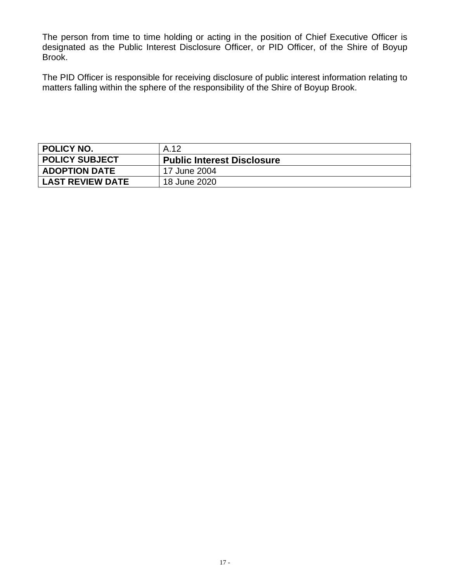The person from time to time holding or acting in the position of Chief Executive Officer is designated as the Public Interest Disclosure Officer, or PID Officer, of the Shire of Boyup Brook.

The PID Officer is responsible for receiving disclosure of public interest information relating to matters falling within the sphere of the responsibility of the Shire of Boyup Brook.

<span id="page-16-0"></span>

| <b>POLICY NO.</b>       | A.12                              |
|-------------------------|-----------------------------------|
| <b>POLICY SUBJECT</b>   | <b>Public Interest Disclosure</b> |
| <b>ADOPTION DATE</b>    | 17 June 2004                      |
| <b>LAST REVIEW DATE</b> | 18 June 2020                      |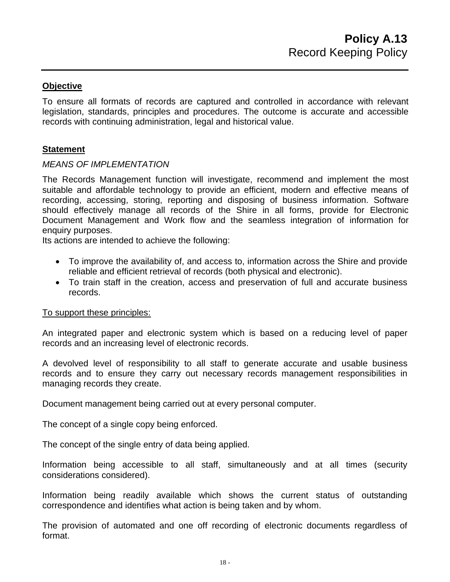To ensure all formats of records are captured and controlled in accordance with relevant legislation, standards, principles and procedures. The outcome is accurate and accessible records with continuing administration, legal and historical value.

#### **Statement**

#### *MEANS OF IMPLEMENTATION*

The Records Management function will investigate, recommend and implement the most suitable and affordable technology to provide an efficient, modern and effective means of recording, accessing, storing, reporting and disposing of business information. Software should effectively manage all records of the Shire in all forms, provide for Electronic Document Management and Work flow and the seamless integration of information for enquiry purposes.

Its actions are intended to achieve the following:

- To improve the availability of, and access to, information across the Shire and provide reliable and efficient retrieval of records (both physical and electronic).
- To train staff in the creation, access and preservation of full and accurate business records.

#### To support these principles:

An integrated paper and electronic system which is based on a reducing level of paper records and an increasing level of electronic records.

A devolved level of responsibility to all staff to generate accurate and usable business records and to ensure they carry out necessary records management responsibilities in managing records they create.

Document management being carried out at every personal computer.

The concept of a single copy being enforced.

The concept of the single entry of data being applied.

Information being accessible to all staff, simultaneously and at all times (security considerations considered).

Information being readily available which shows the current status of outstanding correspondence and identifies what action is being taken and by whom.

The provision of automated and one off recording of electronic documents regardless of format.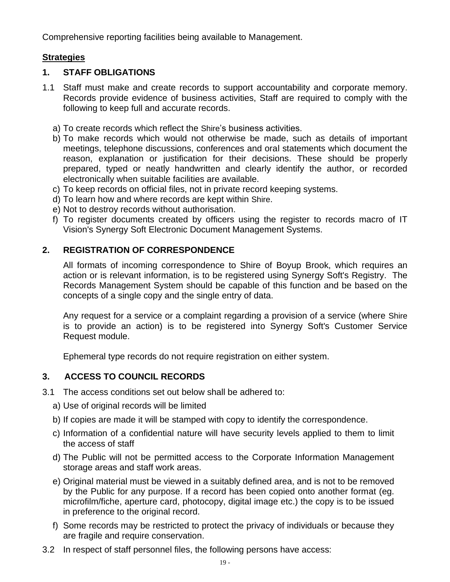Comprehensive reporting facilities being available to Management.

## **Strategies**

## **1. STAFF OBLIGATIONS**

- 1.1 Staff must make and create records to support accountability and corporate memory. Records provide evidence of business activities, Staff are required to comply with the following to keep full and accurate records.
	- a) To create records which reflect the Shire's business activities.
	- b) To make records which would not otherwise be made, such as details of important meetings, telephone discussions, conferences and oral statements which document the reason, explanation or justification for their decisions. These should be properly prepared, typed or neatly handwritten and clearly identify the author, or recorded electronically when suitable facilities are available.
	- c) To keep records on official files, not in private record keeping systems.
	- d) To learn how and where records are kept within Shire.
	- e) Not to destroy records without authorisation.
	- f) To register documents created by officers using the register to records macro of IT Vision's Synergy Soft Electronic Document Management Systems.

## **2. REGISTRATION OF CORRESPONDENCE**

All formats of incoming correspondence to Shire of Boyup Brook, which requires an action or is relevant information, is to be registered using Synergy Soft's Registry. The Records Management System should be capable of this function and be based on the concepts of a single copy and the single entry of data.

Any request for a service or a complaint regarding a provision of a service (where Shire is to provide an action) is to be registered into Synergy Soft's Customer Service Request module.

Ephemeral type records do not require registration on either system.

## **3. ACCESS TO COUNCIL RECORDS**

- 3.1 The access conditions set out below shall be adhered to:
	- a) Use of original records will be limited
	- b) If copies are made it will be stamped with copy to identify the correspondence.
	- c) Information of a confidential nature will have security levels applied to them to limit the access of staff
	- d) The Public will not be permitted access to the Corporate Information Management storage areas and staff work areas.
	- e) Original material must be viewed in a suitably defined area, and is not to be removed by the Public for any purpose. If a record has been copied onto another format (eg. microfilm/fiche, aperture card, photocopy, digital image etc.) the copy is to be issued in preference to the original record.
	- f) Some records may be restricted to protect the privacy of individuals or because they are fragile and require conservation.
- 3.2 In respect of staff personnel files, the following persons have access: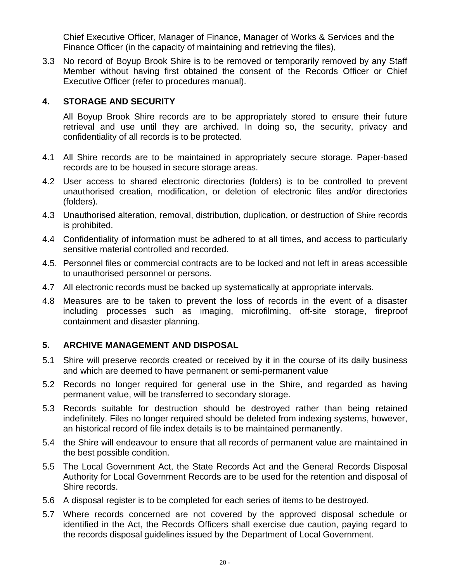Chief Executive Officer, Manager of Finance, Manager of Works & Services and the Finance Officer (in the capacity of maintaining and retrieving the files),

3.3 No record of Boyup Brook Shire is to be removed or temporarily removed by any Staff Member without having first obtained the consent of the Records Officer or Chief Executive Officer (refer to procedures manual).

#### **4. STORAGE AND SECURITY**

All Boyup Brook Shire records are to be appropriately stored to ensure their future retrieval and use until they are archived. In doing so, the security, privacy and confidentiality of all records is to be protected.

- 4.1 All Shire records are to be maintained in appropriately secure storage. Paper-based records are to be housed in secure storage areas.
- 4.2 User access to shared electronic directories (folders) is to be controlled to prevent unauthorised creation, modification, or deletion of electronic files and/or directories (folders).
- 4.3 Unauthorised alteration, removal, distribution, duplication, or destruction of Shire records is prohibited.
- 4.4 Confidentiality of information must be adhered to at all times, and access to particularly sensitive material controlled and recorded.
- 4.5. Personnel files or commercial contracts are to be locked and not left in areas accessible to unauthorised personnel or persons.
- 4.7 All electronic records must be backed up systematically at appropriate intervals.
- 4.8 Measures are to be taken to prevent the loss of records in the event of a disaster including processes such as imaging, microfilming, off-site storage, fireproof containment and disaster planning.

## **5. ARCHIVE MANAGEMENT AND DISPOSAL**

- 5.1 Shire will preserve records created or received by it in the course of its daily business and which are deemed to have permanent or semi-permanent value
- 5.2 Records no longer required for general use in the Shire, and regarded as having permanent value, will be transferred to secondary storage.
- 5.3 Records suitable for destruction should be destroyed rather than being retained indefinitely. Files no longer required should be deleted from indexing systems, however, an historical record of file index details is to be maintained permanently.
- 5.4 the Shire will endeavour to ensure that all records of permanent value are maintained in the best possible condition.
- 5.5 The Local Government Act, the State Records Act and the General Records Disposal Authority for Local Government Records are to be used for the retention and disposal of Shire records.
- 5.6 A disposal register is to be completed for each series of items to be destroyed.
- 5.7 Where records concerned are not covered by the approved disposal schedule or identified in the Act, the Records Officers shall exercise due caution, paying regard to the records disposal guidelines issued by the Department of Local Government.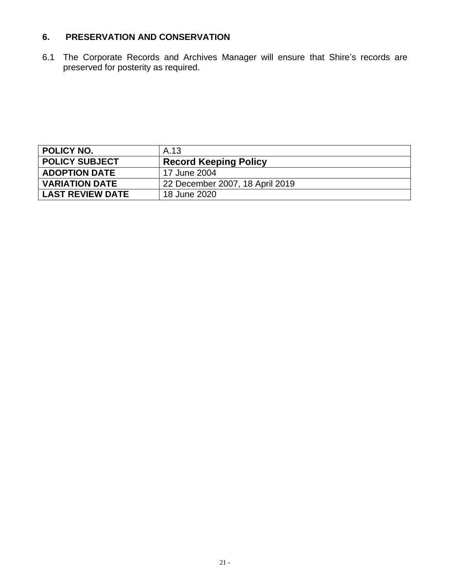# **6. PRESERVATION AND CONSERVATION**

6.1 The Corporate Records and Archives Manager will ensure that Shire's records are preserved for posterity as required.

<span id="page-20-0"></span>

| <b>POLICY NO.</b>       | A.13                            |
|-------------------------|---------------------------------|
| <b>POLICY SUBJECT</b>   | <b>Record Keeping Policy</b>    |
| <b>ADOPTION DATE</b>    | 17 June 2004                    |
| <b>VARIATION DATE</b>   | 22 December 2007, 18 April 2019 |
| <b>LAST REVIEW DATE</b> | 18 June 2020                    |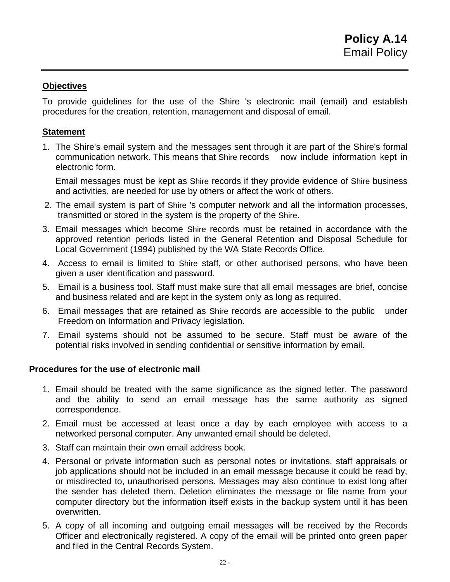To provide guidelines for the use of the Shire 's electronic mail (email) and establish procedures for the creation, retention, management and disposal of email.

#### **Statement**

1. The Shire's email system and the messages sent through it are part of the Shire's formal communication network. This means that Shire records now include information kept in electronic form.

Email messages must be kept as Shire records if they provide evidence of Shire business and activities, are needed for use by others or affect the work of others.

- 2. The email system is part of Shire 's computer network and all the information processes, transmitted or stored in the system is the property of the Shire.
- 3. Email messages which become Shire records must be retained in accordance with the approved retention periods listed in the General Retention and Disposal Schedule for Local Government (1994) published by the WA State Records Office.
- 4. Access to email is limited to Shire staff, or other authorised persons, who have been given a user identification and password.
- 5. Email is a business tool. Staff must make sure that all email messages are brief, concise and business related and are kept in the system only as long as required.
- 6. Email messages that are retained as Shire records are accessible to the public under Freedom on Information and Privacy legislation.
- 7. Email systems should not be assumed to be secure. Staff must be aware of the potential risks involved in sending confidential or sensitive information by email.

#### **Procedures for the use of electronic mail**

- 1. Email should be treated with the same significance as the signed letter. The password and the ability to send an email message has the same authority as signed correspondence.
- 2. Email must be accessed at least once a day by each employee with access to a networked personal computer. Any unwanted email should be deleted.
- 3. Staff can maintain their own email address book.
- 4. Personal or private information such as personal notes or invitations, staff appraisals or job applications should not be included in an email message because it could be read by, or misdirected to, unauthorised persons. Messages may also continue to exist long after the sender has deleted them. Deletion eliminates the message or file name from your computer directory but the information itself exists in the backup system until it has been overwritten.
- 5. A copy of all incoming and outgoing email messages will be received by the Records Officer and electronically registered. A copy of the email will be printed onto green paper and filed in the Central Records System.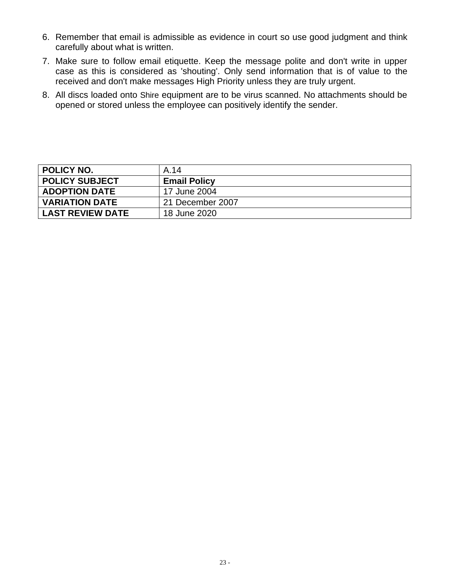- 6. Remember that email is admissible as evidence in court so use good judgment and think carefully about what is written.
- 7. Make sure to follow email etiquette. Keep the message polite and don't write in upper case as this is considered as 'shouting'. Only send information that is of value to the received and don't make messages High Priority unless they are truly urgent.
- 8. All discs loaded onto Shire equipment are to be virus scanned. No attachments should be opened or stored unless the employee can positively identify the sender.

<span id="page-22-0"></span>

| <b>POLICY NO.</b>       | A.14                |
|-------------------------|---------------------|
| <b>POLICY SUBJECT</b>   | <b>Email Policy</b> |
| <b>ADOPTION DATE</b>    | 17 June 2004        |
| <b>VARIATION DATE</b>   | 21 December 2007    |
| <b>LAST REVIEW DATE</b> | 18 June 2020        |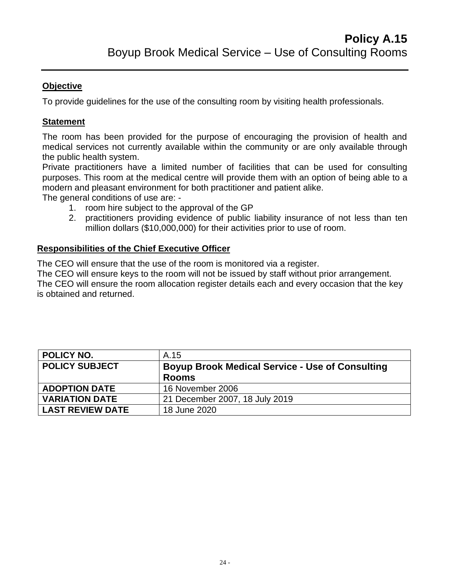To provide guidelines for the use of the consulting room by visiting health professionals.

## **Statement**

The room has been provided for the purpose of encouraging the provision of health and medical services not currently available within the community or are only available through the public health system.

Private practitioners have a limited number of facilities that can be used for consulting purposes. This room at the medical centre will provide them with an option of being able to a modern and pleasant environment for both practitioner and patient alike.

The general conditions of use are: -

- 1. room hire subject to the approval of the GP
- 2. practitioners providing evidence of public liability insurance of not less than ten million dollars (\$10,000,000) for their activities prior to use of room.

## **Responsibilities of the Chief Executive Officer**

The CEO will ensure that the use of the room is monitored via a register.

The CEO will ensure keys to the room will not be issued by staff without prior arrangement. The CEO will ensure the room allocation register details each and every occasion that the key is obtained and returned.

<span id="page-23-0"></span>

| POLICY NO.              | A.15                                                   |
|-------------------------|--------------------------------------------------------|
| <b>POLICY SUBJECT</b>   | <b>Boyup Brook Medical Service - Use of Consulting</b> |
|                         | <b>Rooms</b>                                           |
| <b>ADOPTION DATE</b>    | 16 November 2006                                       |
| <b>VARIATION DATE</b>   | 21 December 2007, 18 July 2019                         |
| <b>LAST REVIEW DATE</b> | 18 June 2020                                           |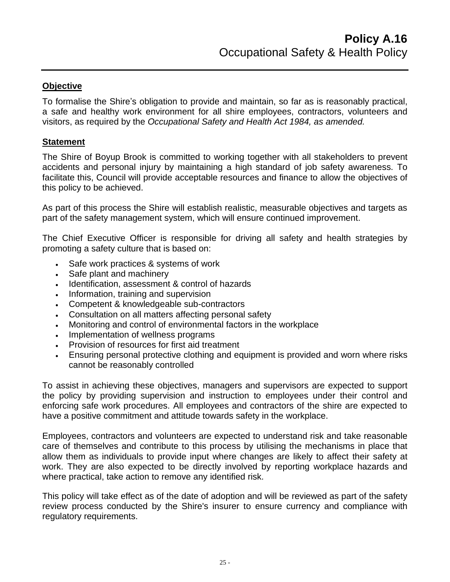To formalise the Shire's obligation to provide and maintain, so far as is reasonably practical, a safe and healthy work environment for all shire employees, contractors, volunteers and visitors, as required by the *Occupational Safety and Health Act 1984, as amended.*

#### **Statement**

The Shire of Boyup Brook is committed to working together with all stakeholders to prevent accidents and personal injury by maintaining a high standard of job safety awareness. To facilitate this, Council will provide acceptable resources and finance to allow the objectives of this policy to be achieved.

As part of this process the Shire will establish realistic, measurable objectives and targets as part of the safety management system, which will ensure continued improvement.

The Chief Executive Officer is responsible for driving all safety and health strategies by promoting a safety culture that is based on:

- Safe work practices & systems of work
- Safe plant and machinery
- Identification, assessment & control of hazards
- Information, training and supervision
- Competent & knowledgeable sub-contractors
- Consultation on all matters affecting personal safety
- Monitoring and control of environmental factors in the workplace
- Implementation of wellness programs
- Provision of resources for first aid treatment
- Ensuring personal protective clothing and equipment is provided and worn where risks cannot be reasonably controlled

To assist in achieving these objectives, managers and supervisors are expected to support the policy by providing supervision and instruction to employees under their control and enforcing safe work procedures. All employees and contractors of the shire are expected to have a positive commitment and attitude towards safety in the workplace.

Employees, contractors and volunteers are expected to understand risk and take reasonable care of themselves and contribute to this process by utilising the mechanisms in place that allow them as individuals to provide input where changes are likely to affect their safety at work. They are also expected to be directly involved by reporting workplace hazards and where practical, take action to remove any identified risk.

This policy will take effect as of the date of adoption and will be reviewed as part of the safety review process conducted by the Shire's insurer to ensure currency and compliance with regulatory requirements.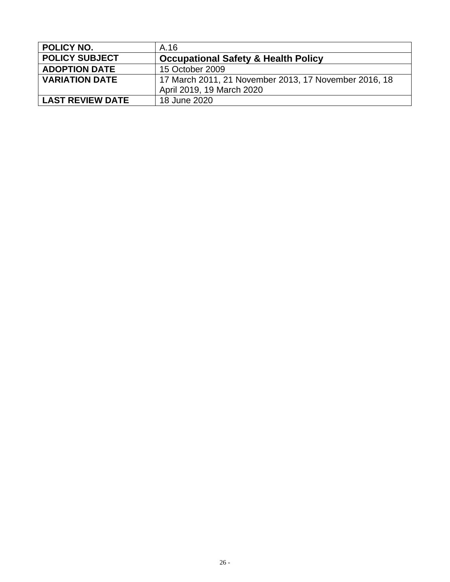<span id="page-25-0"></span>

| <b>POLICY NO.</b>       | A.16                                                  |
|-------------------------|-------------------------------------------------------|
| <b>POLICY SUBJECT</b>   | <b>Occupational Safety &amp; Health Policy</b>        |
| <b>ADOPTION DATE</b>    | 15 October 2009                                       |
| <b>VARIATION DATE</b>   | 17 March 2011, 21 November 2013, 17 November 2016, 18 |
|                         | April 2019, 19 March 2020                             |
| <b>LAST REVIEW DATE</b> | 18 June 2020                                          |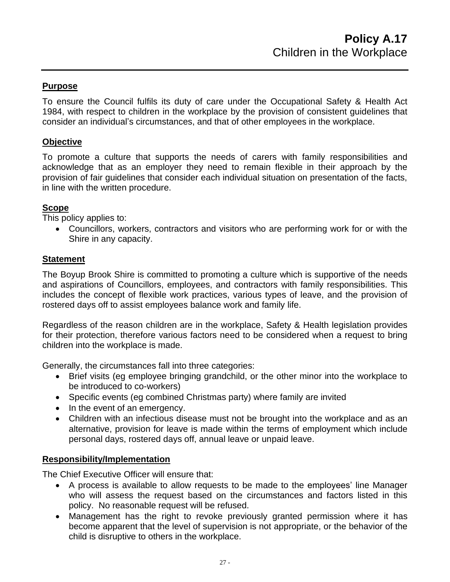#### **Purpose**

To ensure the Council fulfils its duty of care under the Occupational Safety & Health Act 1984, with respect to children in the workplace by the provision of consistent guidelines that consider an individual's circumstances, and that of other employees in the workplace.

## **Objective**

To promote a culture that supports the needs of carers with family responsibilities and acknowledge that as an employer they need to remain flexible in their approach by the provision of fair guidelines that consider each individual situation on presentation of the facts, in line with the written procedure.

#### **Scope**

This policy applies to:

• Councillors, workers, contractors and visitors who are performing work for or with the Shire in any capacity.

#### **Statement**

The Boyup Brook Shire is committed to promoting a culture which is supportive of the needs and aspirations of Councillors, employees, and contractors with family responsibilities. This includes the concept of flexible work practices, various types of leave, and the provision of rostered days off to assist employees balance work and family life.

Regardless of the reason children are in the workplace, Safety & Health legislation provides for their protection, therefore various factors need to be considered when a request to bring children into the workplace is made.

Generally, the circumstances fall into three categories:

- Brief visits (eg employee bringing grandchild, or the other minor into the workplace to be introduced to co-workers)
- Specific events (eg combined Christmas party) where family are invited
- In the event of an emergency.
- Children with an infectious disease must not be brought into the workplace and as an alternative, provision for leave is made within the terms of employment which include personal days, rostered days off, annual leave or unpaid leave.

#### **Responsibility/Implementation**

The Chief Executive Officer will ensure that:

- A process is available to allow requests to be made to the employees' line Manager who will assess the request based on the circumstances and factors listed in this policy. No reasonable request will be refused.
- Management has the right to revoke previously granted permission where it has become apparent that the level of supervision is not appropriate, or the behavior of the child is disruptive to others in the workplace.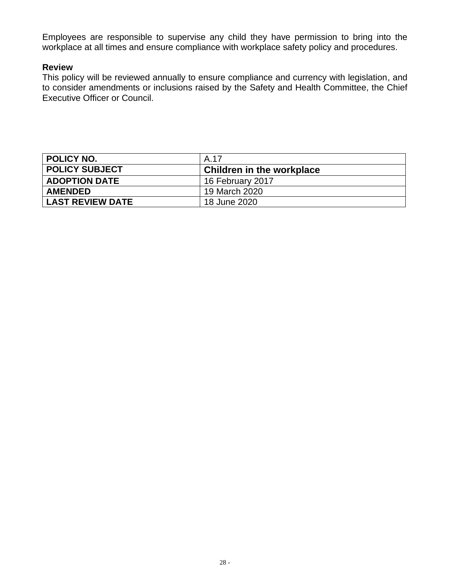Employees are responsible to supervise any child they have permission to bring into the workplace at all times and ensure compliance with workplace safety policy and procedures.

#### **Review**

This policy will be reviewed annually to ensure compliance and currency with legislation, and to consider amendments or inclusions raised by the Safety and Health Committee, the Chief Executive Officer or Council.

<span id="page-27-0"></span>

| <b>POLICY NO.</b>       | A.17                             |
|-------------------------|----------------------------------|
| <b>POLICY SUBJECT</b>   | <b>Children in the workplace</b> |
| <b>ADOPTION DATE</b>    | 16 February 2017                 |
| <b>AMENDED</b>          | 19 March 2020                    |
| <b>LAST REVIEW DATE</b> | 18 June 2020                     |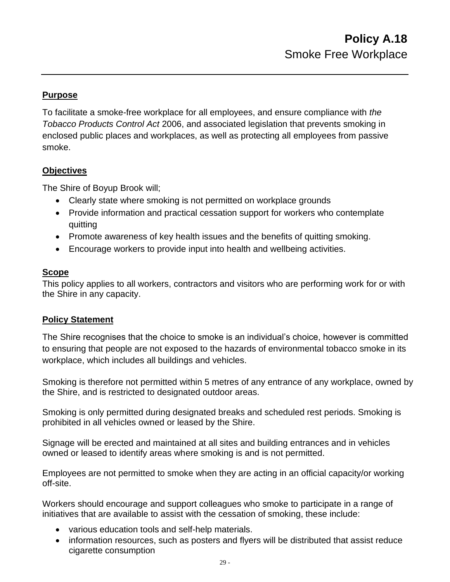## **Purpose**

To facilitate a smoke-free workplace for all employees, and ensure compliance with *the Tobacco Products Control Act* 2006, and associated legislation that prevents smoking in enclosed public places and workplaces, as well as protecting all employees from passive smoke.

#### **Objectives**

The Shire of Boyup Brook will;

- Clearly state where smoking is not permitted on workplace grounds
- Provide information and practical cessation support for workers who contemplate quitting
- Promote awareness of key health issues and the benefits of quitting smoking.
- Encourage workers to provide input into health and wellbeing activities.

## **Scope**

This policy applies to all workers, contractors and visitors who are performing work for or with the Shire in any capacity.

#### **Policy Statement**

The Shire recognises that the choice to smoke is an individual's choice, however is committed to ensuring that people are not exposed to the hazards of environmental tobacco smoke in its workplace, which includes all buildings and vehicles.

Smoking is therefore not permitted within 5 metres of any entrance of any workplace, owned by the Shire, and is restricted to designated outdoor areas.

Smoking is only permitted during designated breaks and scheduled rest periods. Smoking is prohibited in all vehicles owned or leased by the Shire.

Signage will be erected and maintained at all sites and building entrances and in vehicles owned or leased to identify areas where smoking is and is not permitted.

Employees are not permitted to smoke when they are acting in an official capacity/or working off-site.

Workers should encourage and support colleagues who smoke to participate in a range of initiatives that are available to assist with the cessation of smoking, these include:

- various education tools and self-help materials.
- information resources, such as posters and flyers will be distributed that assist reduce cigarette consumption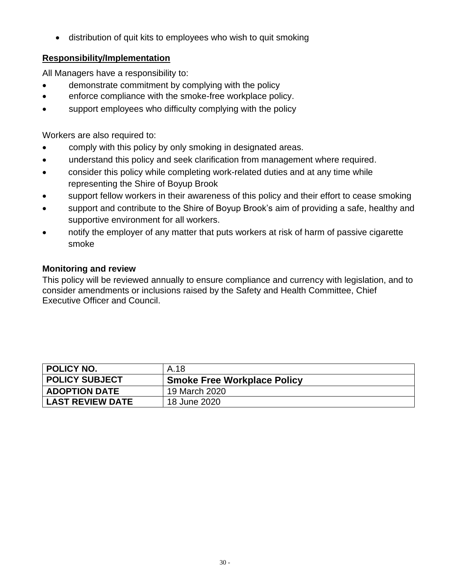• distribution of quit kits to employees who wish to quit smoking

# **Responsibility/Implementation**

All Managers have a responsibility to:

- demonstrate commitment by complying with the policy
- enforce compliance with the smoke-free workplace policy.
- support employees who difficulty complying with the policy

Workers are also required to:

- comply with this policy by only smoking in designated areas.
- understand this policy and seek clarification from management where required.
- consider this policy while completing work-related duties and at any time while representing the Shire of Boyup Brook
- support fellow workers in their awareness of this policy and their effort to cease smoking
- support and contribute to the Shire of Boyup Brook's aim of providing a safe, healthy and supportive environment for all workers.
- notify the employer of any matter that puts workers at risk of harm of passive cigarette smoke

# **Monitoring and review**

This policy will be reviewed annually to ensure compliance and currency with legislation, and to consider amendments or inclusions raised by the Safety and Health Committee, Chief Executive Officer and Council.

<span id="page-29-0"></span>

| <b>POLICY NO.</b>       | A.18                               |
|-------------------------|------------------------------------|
| <b>POLICY SUBJECT</b>   | <b>Smoke Free Workplace Policy</b> |
| <b>ADOPTION DATE</b>    | 19 March 2020                      |
| <b>LAST REVIEW DATE</b> | 18 June 2020                       |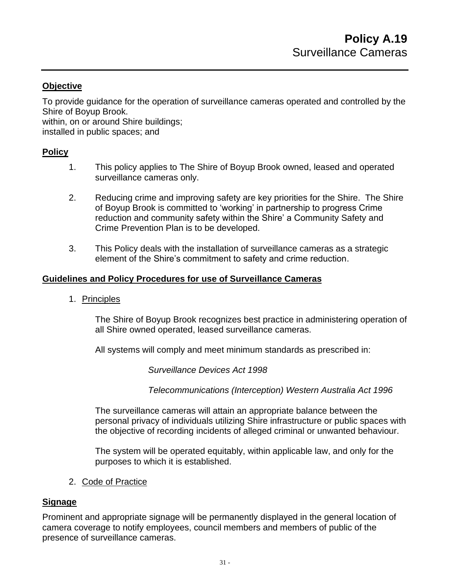To provide guidance for the operation of surveillance cameras operated and controlled by the Shire of Boyup Brook.

within, on or around Shire buildings;

installed in public spaces; and

#### **Policy**

- 1. This policy applies to The Shire of Boyup Brook owned, leased and operated surveillance cameras only.
- 2. Reducing crime and improving safety are key priorities for the Shire. The Shire of Boyup Brook is committed to 'working' in partnership to progress Crime reduction and community safety within the Shire' a Community Safety and Crime Prevention Plan is to be developed.
- 3. This Policy deals with the installation of surveillance cameras as a strategic element of the Shire's commitment to safety and crime reduction.

#### **Guidelines and Policy Procedures for use of Surveillance Cameras**

1. Principles

The Shire of Boyup Brook recognizes best practice in administering operation of all Shire owned operated, leased surveillance cameras.

All systems will comply and meet minimum standards as prescribed in:

*Surveillance Devices Act 1998*

*Telecommunications (Interception) Western Australia Act 1996*

The surveillance cameras will attain an appropriate balance between the personal privacy of individuals utilizing Shire infrastructure or public spaces with the objective of recording incidents of alleged criminal or unwanted behaviour.

The system will be operated equitably, within applicable law, and only for the purposes to which it is established.

2. Code of Practice

#### **Signage**

Prominent and appropriate signage will be permanently displayed in the general location of camera coverage to notify employees, council members and members of public of the presence of surveillance cameras.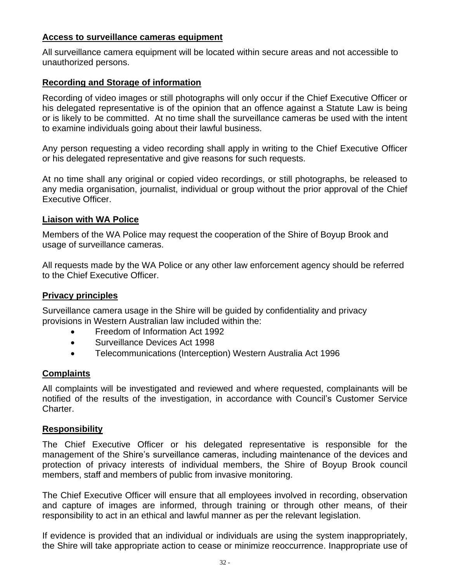#### **Access to surveillance cameras equipment**

All surveillance camera equipment will be located within secure areas and not accessible to unauthorized persons.

#### **Recording and Storage of information**

Recording of video images or still photographs will only occur if the Chief Executive Officer or his delegated representative is of the opinion that an offence against a Statute Law is being or is likely to be committed. At no time shall the surveillance cameras be used with the intent to examine individuals going about their lawful business.

Any person requesting a video recording shall apply in writing to the Chief Executive Officer or his delegated representative and give reasons for such requests.

At no time shall any original or copied video recordings, or still photographs, be released to any media organisation, journalist, individual or group without the prior approval of the Chief Executive Officer.

#### **Liaison with WA Police**

Members of the WA Police may request the cooperation of the Shire of Boyup Brook and usage of surveillance cameras.

All requests made by the WA Police or any other law enforcement agency should be referred to the Chief Executive Officer.

#### **Privacy principles**

Surveillance camera usage in the Shire will be guided by confidentiality and privacy provisions in Western Australian law included within the:

- Freedom of Information Act 1992
- Surveillance Devices Act 1998
- Telecommunications (Interception) Western Australia Act 1996

#### **Complaints**

All complaints will be investigated and reviewed and where requested, complainants will be notified of the results of the investigation, in accordance with Council's Customer Service Charter.

#### **Responsibility**

The Chief Executive Officer or his delegated representative is responsible for the management of the Shire's surveillance cameras, including maintenance of the devices and protection of privacy interests of individual members, the Shire of Boyup Brook council members, staff and members of public from invasive monitoring.

The Chief Executive Officer will ensure that all employees involved in recording, observation and capture of images are informed, through training or through other means, of their responsibility to act in an ethical and lawful manner as per the relevant legislation.

If evidence is provided that an individual or individuals are using the system inappropriately, the Shire will take appropriate action to cease or minimize reoccurrence. Inappropriate use of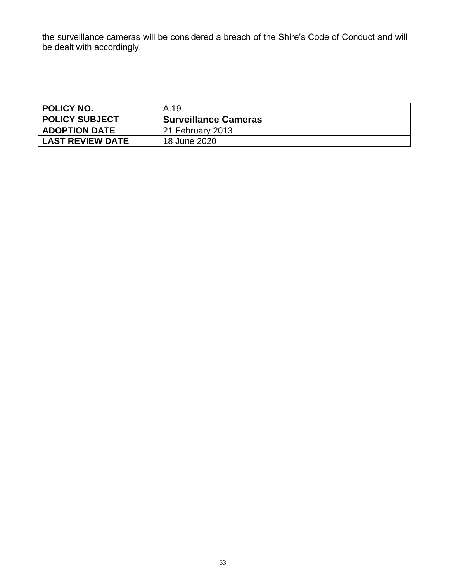the surveillance cameras will be considered a breach of the Shire's Code of Conduct and will be dealt with accordingly.

<span id="page-32-0"></span>

| <b>POLICY NO.</b>       | A.19                        |
|-------------------------|-----------------------------|
| <b>POLICY SUBJECT</b>   | <b>Surveillance Cameras</b> |
| <b>ADOPTION DATE</b>    | 21 February 2013            |
| <b>LAST REVIEW DATE</b> | 18 June 2020                |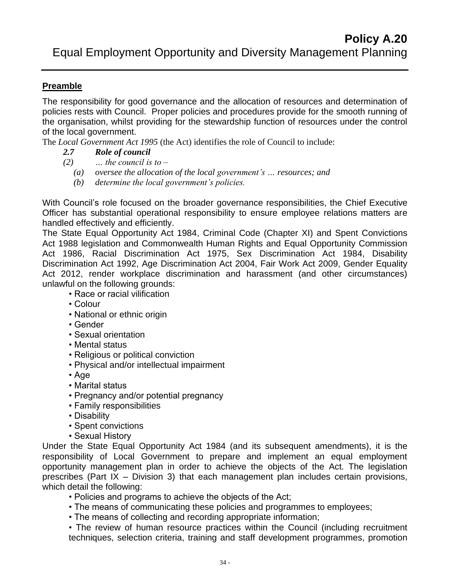# **Preamble**

The responsibility for good governance and the allocation of resources and determination of policies rests with Council. Proper policies and procedures provide for the smooth running of the organisation, whilst providing for the stewardship function of resources under the control of the local government.

The *Local Government Act 1995* (the Act) identifies the role of Council to include:

## *2.7 Role of council*

- *(2) … the council is to –*
	- *(a) oversee the allocation of the local government's … resources; and*
	- *(b) determine the local government's policies.*

With Council's role focused on the broader governance responsibilities, the Chief Executive Officer has substantial operational responsibility to ensure employee relations matters are handled effectively and efficiently.

The State Equal Opportunity Act 1984, Criminal Code (Chapter XI) and Spent Convictions Act 1988 legislation and Commonwealth Human Rights and Equal Opportunity Commission Act 1986, Racial Discrimination Act 1975, Sex Discrimination Act 1984, Disability Discrimination Act 1992, Age Discrimination Act 2004, Fair Work Act 2009, Gender Equality Act 2012, render workplace discrimination and harassment (and other circumstances) unlawful on the following grounds:

- Race or racial vilification
- Colour
- National or ethnic origin
- Gender
- Sexual orientation
- Mental status
- Religious or political conviction
- Physical and/or intellectual impairment
- Age
- Marital status
- Pregnancy and/or potential pregnancy
- Family responsibilities
- Disability
- Spent convictions
- Sexual History

Under the State Equal Opportunity Act 1984 (and its subsequent amendments), it is the responsibility of Local Government to prepare and implement an equal employment opportunity management plan in order to achieve the objects of the Act. The legislation prescribes (Part IX – Division 3) that each management plan includes certain provisions, which detail the following:

• Policies and programs to achieve the objects of the Act;

- The means of communicating these policies and programmes to employees;
- The means of collecting and recording appropriate information;

• The review of human resource practices within the Council (including recruitment techniques, selection criteria, training and staff development programmes, promotion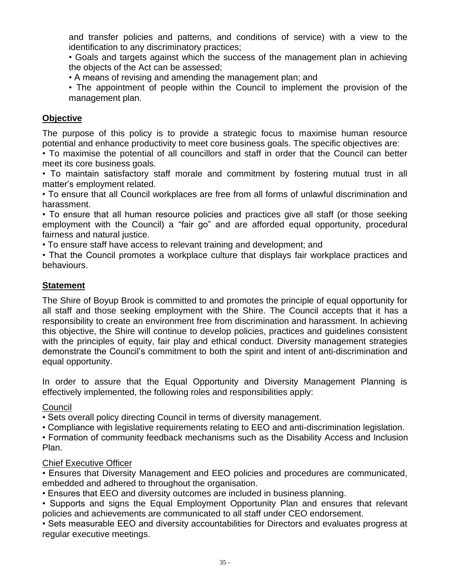and transfer policies and patterns, and conditions of service) with a view to the identification to any discriminatory practices;

• Goals and targets against which the success of the management plan in achieving the objects of the Act can be assessed;

• A means of revising and amending the management plan; and

• The appointment of people within the Council to implement the provision of the management plan.

## **Objective**

The purpose of this policy is to provide a strategic focus to maximise human resource potential and enhance productivity to meet core business goals. The specific objectives are:

• To maximise the potential of all councillors and staff in order that the Council can better meet its core business goals.

• To maintain satisfactory staff morale and commitment by fostering mutual trust in all matter's employment related.

• To ensure that all Council workplaces are free from all forms of unlawful discrimination and harassment.

• To ensure that all human resource policies and practices give all staff (or those seeking employment with the Council) a "fair go" and are afforded equal opportunity, procedural fairness and natural justice.

• To ensure staff have access to relevant training and development; and

• That the Council promotes a workplace culture that displays fair workplace practices and behaviours.

## **Statement**

The Shire of Boyup Brook is committed to and promotes the principle of equal opportunity for all staff and those seeking employment with the Shire. The Council accepts that it has a responsibility to create an environment free from discrimination and harassment. In achieving this objective, the Shire will continue to develop policies, practices and guidelines consistent with the principles of equity, fair play and ethical conduct. Diversity management strategies demonstrate the Council's commitment to both the spirit and intent of anti-discrimination and equal opportunity.

In order to assure that the Equal Opportunity and Diversity Management Planning is effectively implemented, the following roles and responsibilities apply:

#### Council

• Sets overall policy directing Council in terms of diversity management.

• Compliance with legislative requirements relating to EEO and anti-discrimination legislation.

• Formation of community feedback mechanisms such as the Disability Access and Inclusion Plan.

## Chief Executive Officer

• Ensures that Diversity Management and EEO policies and procedures are communicated, embedded and adhered to throughout the organisation.

• Ensures that EEO and diversity outcomes are included in business planning.

• Supports and signs the Equal Employment Opportunity Plan and ensures that relevant policies and achievements are communicated to all staff under CEO endorsement.

• Sets measurable EEO and diversity accountabilities for Directors and evaluates progress at regular executive meetings.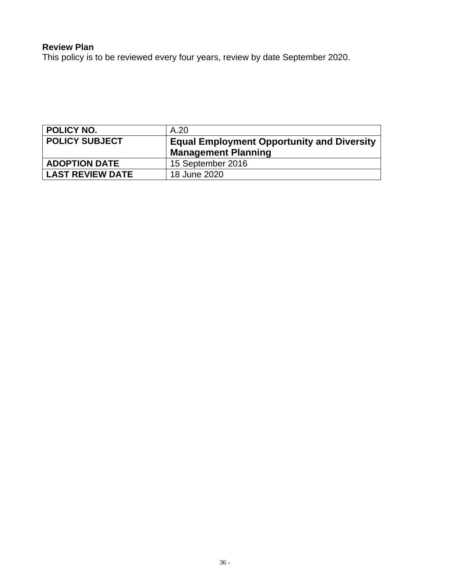# **Review Plan**

This policy is to be reviewed every four years, review by date September 2020.

<span id="page-35-0"></span>

| <b>POLICY NO.</b>       | A.20                                                                            |
|-------------------------|---------------------------------------------------------------------------------|
| <b>POLICY SUBJECT</b>   | <b>Equal Employment Opportunity and Diversity</b><br><b>Management Planning</b> |
| <b>ADOPTION DATE</b>    | 15 September 2016                                                               |
| <b>LAST REVIEW DATE</b> | 18 June 2020                                                                    |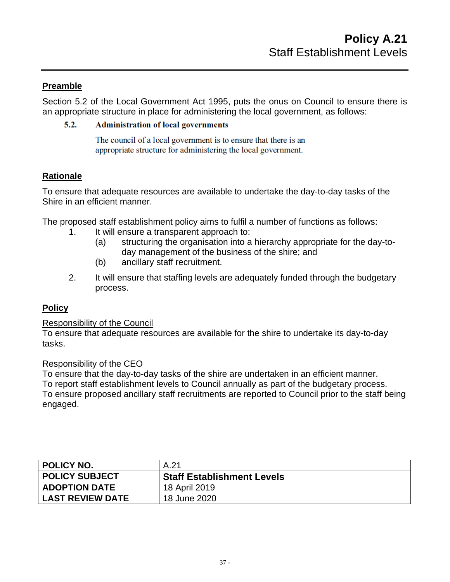## **Preamble**

Section 5.2 of the Local Government Act 1995, puts the onus on Council to ensure there is an appropriate structure in place for administering the local government, as follows:

#### $5.2.$ **Administration of local governments**

The council of a local government is to ensure that there is an appropriate structure for administering the local government.

## **Rationale**

To ensure that adequate resources are available to undertake the day-to-day tasks of the Shire in an efficient manner.

The proposed staff establishment policy aims to fulfil a number of functions as follows:

- 1. It will ensure a transparent approach to:
	- (a) structuring the organisation into a hierarchy appropriate for the day-today management of the business of the shire; and
	- (b) ancillary staff recruitment.
- 2. It will ensure that staffing levels are adequately funded through the budgetary process.

#### **Policy**

#### Responsibility of the Council

To ensure that adequate resources are available for the shire to undertake its day-to-day tasks.

#### Responsibility of the CEO

To ensure that the day-to-day tasks of the shire are undertaken in an efficient manner. To report staff establishment levels to Council annually as part of the budgetary process. To ensure proposed ancillary staff recruitments are reported to Council prior to the staff being engaged.

<span id="page-36-0"></span>

| <b>POLICY NO.</b>       | A.21                              |
|-------------------------|-----------------------------------|
| <b>POLICY SUBJECT</b>   | <b>Staff Establishment Levels</b> |
| <b>ADOPTION DATE</b>    | 18 April 2019                     |
| <b>LAST REVIEW DATE</b> | 18 June 2020                      |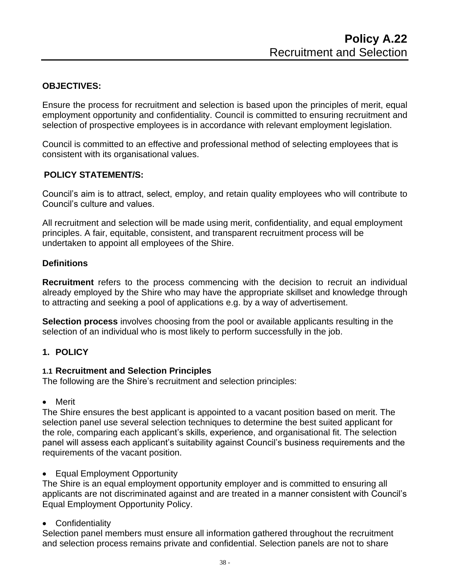## **OBJECTIVES:**

Ensure the process for recruitment and selection is based upon the principles of merit, equal employment opportunity and confidentiality. Council is committed to ensuring recruitment and selection of prospective employees is in accordance with relevant employment legislation.

Council is committed to an effective and professional method of selecting employees that is consistent with its organisational values.

#### **POLICY STATEMENT/S:**

Council's aim is to attract, select, employ, and retain quality employees who will contribute to Council's culture and values.

All recruitment and selection will be made using merit, confidentiality, and equal employment principles. A fair, equitable, consistent, and transparent recruitment process will be undertaken to appoint all employees of the Shire.

#### **Definitions**

**Recruitment** refers to the process commencing with the decision to recruit an individual already employed by the Shire who may have the appropriate skillset and knowledge through to attracting and seeking a pool of applications e.g. by a way of advertisement.

**Selection process** involves choosing from the pool or available applicants resulting in the selection of an individual who is most likely to perform successfully in the job.

#### **1. POLICY**

#### **1.1 Recruitment and Selection Principles**

The following are the Shire's recruitment and selection principles:

• Merit

The Shire ensures the best applicant is appointed to a vacant position based on merit. The selection panel use several selection techniques to determine the best suited applicant for the role, comparing each applicant's skills, experience, and organisational fit. The selection panel will assess each applicant's suitability against Council's business requirements and the requirements of the vacant position.

• Equal Employment Opportunity

The Shire is an equal employment opportunity employer and is committed to ensuring all applicants are not discriminated against and are treated in a manner consistent with Council's Equal Employment Opportunity Policy.

• Confidentiality

Selection panel members must ensure all information gathered throughout the recruitment and selection process remains private and confidential. Selection panels are not to share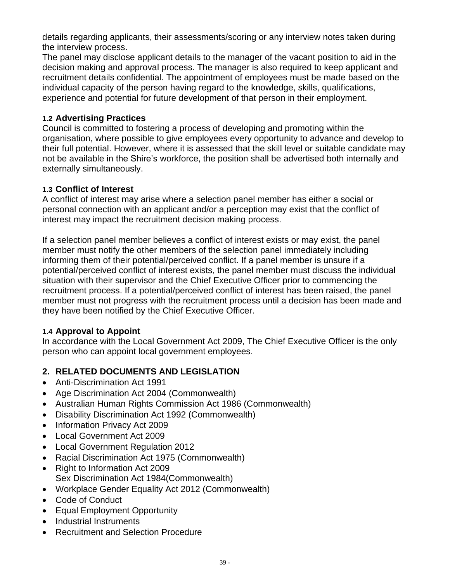details regarding applicants, their assessments/scoring or any interview notes taken during the interview process.

The panel may disclose applicant details to the manager of the vacant position to aid in the decision making and approval process. The manager is also required to keep applicant and recruitment details confidential. The appointment of employees must be made based on the individual capacity of the person having regard to the knowledge, skills, qualifications, experience and potential for future development of that person in their employment.

## **1.2 Advertising Practices**

Council is committed to fostering a process of developing and promoting within the organisation, where possible to give employees every opportunity to advance and develop to their full potential. However, where it is assessed that the skill level or suitable candidate may not be available in the Shire's workforce, the position shall be advertised both internally and externally simultaneously.

## **1.3 Conflict of Interest**

A conflict of interest may arise where a selection panel member has either a social or personal connection with an applicant and/or a perception may exist that the conflict of interest may impact the recruitment decision making process.

If a selection panel member believes a conflict of interest exists or may exist, the panel member must notify the other members of the selection panel immediately including informing them of their potential/perceived conflict. If a panel member is unsure if a potential/perceived conflict of interest exists, the panel member must discuss the individual situation with their supervisor and the Chief Executive Officer prior to commencing the recruitment process. If a potential/perceived conflict of interest has been raised, the panel member must not progress with the recruitment process until a decision has been made and they have been notified by the Chief Executive Officer.

## **1.4 Approval to Appoint**

In accordance with the Local Government Act 2009, The Chief Executive Officer is the only person who can appoint local government employees.

# **2. RELATED DOCUMENTS AND LEGISLATION**

- Anti-Discrimination Act 1991
- Age Discrimination Act 2004 (Commonwealth)
- Australian Human Rights Commission Act 1986 (Commonwealth)
- Disability Discrimination Act 1992 (Commonwealth)
- Information Privacy Act 2009
- Local Government Act 2009
- Local Government Regulation 2012
- Racial Discrimination Act 1975 (Commonwealth)
- Right to Information Act 2009 Sex Discrimination Act 1984(Commonwealth)
- Workplace Gender Equality Act 2012 (Commonwealth)
- Code of Conduct
- Equal Employment Opportunity
- Industrial Instruments
- Recruitment and Selection Procedure